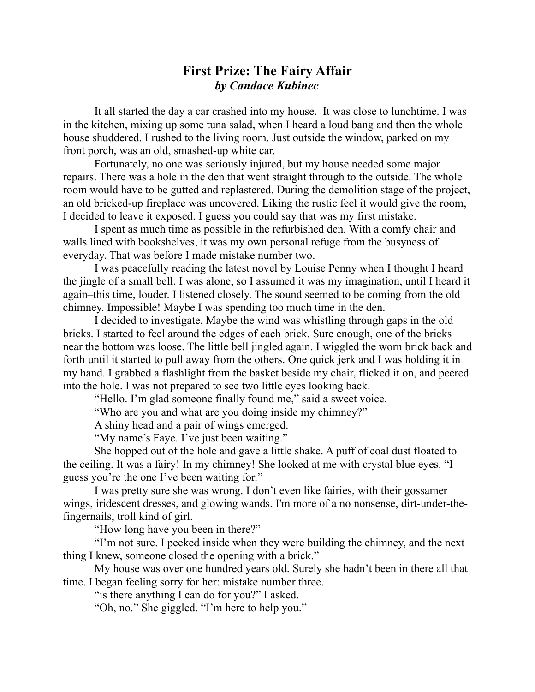## **First Prize: The Fairy Affair** *by Candace Kubinec*

It all started the day a car crashed into my house. It was close to lunchtime. I was in the kitchen, mixing up some tuna salad, when I heard a loud bang and then the whole house shuddered. I rushed to the living room. Just outside the window, parked on my front porch, was an old, smashed-up white car.

Fortunately, no one was seriously injured, but my house needed some major repairs. There was a hole in the den that went straight through to the outside. The whole room would have to be gutted and replastered. During the demolition stage of the project, an old bricked-up fireplace was uncovered. Liking the rustic feel it would give the room, I decided to leave it exposed. I guess you could say that was my first mistake.

I spent as much time as possible in the refurbished den. With a comfy chair and walls lined with bookshelves, it was my own personal refuge from the busyness of everyday. That was before I made mistake number two.

I was peacefully reading the latest novel by Louise Penny when I thought I heard the jingle of a small bell. I was alone, so I assumed it was my imagination, until I heard it again–this time, louder. I listened closely. The sound seemed to be coming from the old chimney. Impossible! Maybe I was spending too much time in the den.

I decided to investigate. Maybe the wind was whistling through gaps in the old bricks. I started to feel around the edges of each brick. Sure enough, one of the bricks near the bottom was loose. The little bell jingled again. I wiggled the worn brick back and forth until it started to pull away from the others. One quick jerk and I was holding it in my hand. I grabbed a flashlight from the basket beside my chair, flicked it on, and peered into the hole. I was not prepared to see two little eyes looking back.

"Hello. I'm glad someone finally found me," said a sweet voice.

"Who are you and what are you doing inside my chimney?"

A shiny head and a pair of wings emerged.

"My name's Faye. I've just been waiting."

She hopped out of the hole and gave a little shake. A puff of coal dust floated to the ceiling. It was a fairy! In my chimney! She looked at me with crystal blue eyes. "I guess you're the one I've been waiting for."

I was pretty sure she was wrong. I don't even like fairies, with their gossamer wings, iridescent dresses, and glowing wands. I'm more of a no nonsense, dirt-under-thefingernails, troll kind of girl.

"How long have you been in there?"

"I'm not sure. I peeked inside when they were building the chimney, and the next thing I knew, someone closed the opening with a brick."

My house was over one hundred years old. Surely she hadn't been in there all that time. I began feeling sorry for her: mistake number three.

"is there anything I can do for you?" I asked.

"Oh, no." She giggled. "I'm here to help you."